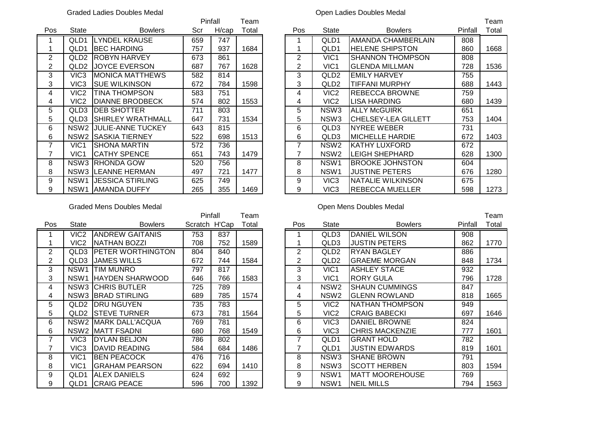# Graded Ladies Doubles Medal **Open Ladies Doubles Medal** Open Ladies Doubles Medal

|                |                  |                            |     | Pinfall<br>Team |       |                |                  |                            |         | Team  |
|----------------|------------------|----------------------------|-----|-----------------|-------|----------------|------------------|----------------------------|---------|-------|
| Pos            | State            | <b>Bowlers</b>             | Scr | H/cap           | Total | <b>Pos</b>     | <b>State</b>     | <b>Bowlers</b>             | Pinfall | Total |
|                | QLD <sub>1</sub> | LYNDEL KRAUSE              | 659 | 747             |       |                | QLD1             | AMANDA CHAMBERLAIN         | 808     |       |
|                | QLD <sub>1</sub> | <b>IBEC HARDING</b>        | 757 | 937             | 1684  |                | QLD1             | <b>HELENE SHIPSTON</b>     | 860     | 1668  |
| $\overline{2}$ | QLD <sub>2</sub> | <b>ROBYN HARVEY</b>        | 673 | 861             |       | $\overline{2}$ | VIC1             | <b>SHANNON THOMPSON</b>    | 808     |       |
| $\overline{2}$ | QLD <sub>2</sub> | <b>JOYCE EVERSON</b>       | 687 | 767             | 1628  | $\overline{2}$ | VIC <sub>1</sub> | <b>GLENDA MILLMAN</b>      | 728     | 1536  |
| 3              | VIC <sub>3</sub> | IMONICA MATTHEWS           | 582 | 814             |       | 3              | QLD <sub>2</sub> | <b>EMILY HARVEY</b>        | 755     |       |
| 3              | VIC <sub>3</sub> | <b>SUE WILKINSON</b>       | 672 | 784             | 1598  | 3              | QLD <sub>2</sub> | <b>TIFFANI MURPHY</b>      | 688     | 1443  |
| 4              | VIC <sub>2</sub> | <b>TINA THOMPSON</b>       | 583 | 751             |       | 4              | VIC <sub>2</sub> | <b>REBECCA BROWNE</b>      | 759     |       |
| 4              | VIC <sub>2</sub> | <b>DIANNE BRODBECK</b>     | 574 | 802             | 1553  | 4              | VIC <sub>2</sub> | LISA HARDING               | 680     | 1439  |
| 5              | QLD3             | <b>DEB SHOTTER</b>         | 711 | 803             |       | 5              | NSW <sub>3</sub> | <b>ALLY McGUIRK</b>        | 651     |       |
| 5.             | QLD3             | <b>I</b> SHIRLEY WRATHMALL | 647 | 731             | 1534  | 5              | NSW <sub>3</sub> | <b>CHELSEY-LEA GILLETT</b> | 753     | 1404  |
| 6              | NSW2             | <b>JULIE-ANNE TUCKEY</b>   | 643 | 815             |       | 6              | QLD3             | <b>NYREE WEBER</b>         | 731     |       |
| 6              | NSW <sub>2</sub> | <b>SASKIA TIERNEY</b>      | 522 | 698             | 1513  | 6              | QLD3             | <b>MICHELLE HARDIE</b>     | 672     | 1403  |
| 7              | VIC <sub>1</sub> | ISHONA MARTIN              | 572 | 736             |       | 7              | NSW <sub>2</sub> | KATHY LUXFORD              | 672     |       |
|                | VIC <sub>1</sub> | <b>ICATHY SPENCE</b>       | 651 | 743             | 1479  | 7              | NSW <sub>2</sub> | LEIGH SHEPHARD             | 628     | 1300  |
| 8              |                  | NSW3 RHONDA GOW            | 520 | 756             |       | 8              | NSW <sub>1</sub> | <b>BROOKE JOHNSTON</b>     | 604     |       |
| 8              |                  | NSW3 LEANNE HERMAN         | 497 | 721             | 1477  | 8              | NSW <sub>1</sub> | <b>JUSTINE PETERS</b>      | 676     | 1280  |
| 9              | NSW <sub>1</sub> | IJESSICA STIRLING          | 625 | 749             |       | 9              | VIC3             | NATALIE WILKINSON          | 675     |       |
| 9              | NSW1             | <b>JAMANDA DUFFY</b>       | 265 | 355<br>1469     |       | 9              | VIC3             | <b>REBECCA MUELLER</b>     | 598     | 1273  |

|                | Pinfall          |                            |     |       | <sup>-</sup> eam |     |                  |                            |         | Геаm  |
|----------------|------------------|----------------------------|-----|-------|------------------|-----|------------------|----------------------------|---------|-------|
| 'os            | <b>State</b>     | <b>Bowlers</b>             | Scr | H/cap | Total            | Pos | State            | <b>Bowlers</b>             | Pinfall | Total |
|                | QLD <sub>1</sub> | <b>LYNDEL KRAUSE</b>       | 659 | 747   |                  |     | QLD1             | AMANDA CHAMBERLAIN         | 808     |       |
|                | QLD1             | <b>IBEC HARDING</b>        | 757 | 937   | 1684             |     | QLD1             | <b>HELENE SHIPSTON</b>     | 860     | 1668  |
| $\overline{2}$ | QLD <sub>2</sub> | <b>ROBYN HARVEY</b>        | 673 | 861   |                  | 2   | VIC <sub>1</sub> | <b>SHANNON THOMPSON</b>    | 808     |       |
| $\overline{2}$ | QLD <sub>2</sub> | <b>JOYCE EVERSON</b>       | 687 | 767   | 1628             | 2   | VIC <sub>1</sub> | <b>GLENDA MILLMAN</b>      | 728     | 1536  |
| 3              | VIC3             | <b>MONICA MATTHEWS</b>     | 582 | 814   |                  | 3   | QLD <sub>2</sub> | <b>EMILY HARVEY</b>        | 755     |       |
| 3              | VIC3             | <b>SUE WILKINSON</b>       | 672 | 784   | 1598             | 3   | QLD <sub>2</sub> | <b>TIFFANI MURPHY</b>      | 688     | 1443  |
| 4              | VIC2             | <b>TINA THOMPSON</b>       | 583 | 751   |                  | 4   | VIC <sub>2</sub> | <b>REBECCA BROWNE</b>      | 759     |       |
| 4              | VIC2             | <b>DIANNE BRODBECK</b>     | 574 | 802   | 1553             | 4   | VIC <sub>2</sub> | <b>LISA HARDING</b>        | 680     | 1439  |
| 5              | QLD3             | <b>DEB SHOTTER</b>         | 711 | 803   |                  | 5   | NSW3             | <b>ALLY McGUIRK</b>        | 651     |       |
| 5              | QLD3             | <b>I</b> SHIRLEY WRATHMALL | 647 | 731   | 1534             | 5   | NSW3             | <b>CHELSEY-LEA GILLETT</b> | 753     | 1404  |
| 6              | NSW <sub>2</sub> | <b>JULIE-ANNE TUCKEY</b>   | 643 | 815   |                  | 6   | QLD3             | <b>NYREE WEBER</b>         | 731     |       |
| 6              | NSW <sub>2</sub> | <b>ISASKIA TIERNEY</b>     | 522 | 698   | 1513             | 6   | QLD3             | <b>IMICHELLE HARDIE</b>    | 672     | 1403  |
| 7              | VIC1             | <b>SHONA MARTIN</b>        | 572 | 736   |                  | ⇁   | NSW2             | KATHY LUXFORD              | 672     |       |
| 7              | VIC1             | <b>CATHY SPENCE</b>        | 651 | 743   | 1479             |     | NSW <sub>2</sub> | <b>LEIGH SHEPHARD</b>      | 628     | 1300  |
| 8              | NSW3             | <b>RHONDA GOW</b>          | 520 | 756   |                  | 8   | NSW <sub>1</sub> | <b>BROOKE JOHNSTON</b>     | 604     |       |
| 8              |                  | NSW3 LEANNE HERMAN         | 497 | 721   | 1477             | 8   | NSW <sub>1</sub> | <b>JUSTINE PETERS</b>      | 676     | 1280  |
| 9              | NSW1             | <b>JESSICA STIRLING</b>    | 625 | 749   |                  | 9   | VIC3             | INATALIE WILKINSON         | 675     |       |
| 9              | NSW <sub>1</sub> | <b>AMANDA DUFFY</b>        | 265 | 355   | 1469             | 9   | VIC <sub>3</sub> | <b>REBECCA MUELLER</b>     | 598     | 1273  |

## Graded Mens Doubles Medal **Graded Mens Doubles Medal Open Mens Doubles Medal**

|                | Pinfall          |                           |               |     | Team  |                |                  |                        |         | Team  |
|----------------|------------------|---------------------------|---------------|-----|-------|----------------|------------------|------------------------|---------|-------|
| Pos            | <b>State</b>     | <b>Bowlers</b>            | Scratch H'Cap |     | Total | Pos            | <b>State</b>     | <b>Bowlers</b>         | Pinfall | Total |
|                | VIC2             | <b>ANDREW GAITANIS</b>    | 753           | 837 |       |                | QLD3             | <b>DANIEL WILSON</b>   | 908     |       |
|                | VIC2             | <b>NATHAN BOZZI</b>       | 708           | 752 | 1589  |                | QLD3             | <b>JUSTIN PETERS</b>   | 862     | 1770  |
| $\overline{2}$ | QLD3             | <b>IPETER WORTHINGTON</b> | 804           | 840 |       | $\overline{2}$ | QLD2             | <b>RYAN BAGLEY</b>     | 886     |       |
| $\overline{2}$ | QLD3             | <b>JAMES WILLS</b>        | 672           | 744 | 1584  | 2              | QLD <sub>2</sub> | <b>GRAEME MORGAN</b>   | 848     | 1734  |
| 3              | NSW <sub>1</sub> | TIM MUNRO                 | 797           | 817 |       | 3              | VIC <sub>1</sub> | <b>ASHLEY STACE</b>    | 932     |       |
| 3              | NSW1             | <b>HAYDEN SHARWOOD</b>    | 646           | 766 | 1583  | 3              | VIC <sub>1</sub> | <b>RORY GULA</b>       | 796     | 1728  |
| $\overline{4}$ |                  | <b>NSW3 CHRIS BUTLER</b>  | 725           | 789 |       | 4              | NSW <sub>2</sub> | <b>SHAUN CUMMINGS</b>  | 847     |       |
| 4              |                  | NSW3 BRAD STIRLING        | 689           | 785 | 1574  | 4              | NSW <sub>2</sub> | <b>GLENN ROWLAND</b>   | 818     | 1665  |
| 5              | QLD2             | <b>DRU NGUYEN</b>         | 735           | 783 |       | 5.             | VIC <sub>2</sub> | NATHAN THOMPSON        | 949     |       |
| 5.             |                  | <b>QLD2 STEVE TURNER</b>  | 673           | 781 | 1564  | 5              | VIC <sub>2</sub> | <b>CRAIG BABECKI</b>   | 697     | 1646  |
| 6              |                  | NSW2 MARK DALL'ACQUA      | 769           | 781 |       | 6              | VIC <sub>3</sub> | DANIEL BROWNE          | 824     |       |
| 6              |                  | NSW2 MATT FSADNI          | 680           | 768 | 1549  | 6              | VIC <sub>3</sub> | <b>CHRIS MACKENZIE</b> | 777     | 1601  |
| 7              | VIC <sub>3</sub> | <b>DYLAN BELJON</b>       | 786           | 802 |       | 7              | QLD1             | <b>GRANT HOLD</b>      | 782     |       |
|                | VIC <sub>3</sub> | <b>DAVID READING</b>      | 584           | 684 | 1486  | 7              | QLD1             | <b>JUSTIN EDWARDS</b>  | 819     | 1601  |
| 8              | VIC <sub>1</sub> | <b>BEN PEACOCK</b>        | 476           | 716 |       | 8              | NSW <sub>3</sub> | <b>SHANE BROWN</b>     | 791     |       |
| 8              | VIC1             | <b>GRAHAM PEARSON</b>     | 622           | 694 | 1410  | 8              | NSW <sub>3</sub> | <b>SCOTT HERBEN</b>    | 803     | 1594  |
| 9              | QLD1             | <b>ALEX DANIELS</b>       | 624           | 692 |       | 9              | NSW <sub>1</sub> | <b>MATT MOOREHOUSE</b> | 769     |       |
| 9              | QLD1             | <b>CRAIG PEACE</b>        | 596           | 700 | 1392  | 9              | NSW <sub>1</sub> | <b>NEIL MILLS</b>      | 794     | 1563  |

|                | Pinfall          |                          |               |     | Геаm  |     |                  |                        |         | Team  |
|----------------|------------------|--------------------------|---------------|-----|-------|-----|------------------|------------------------|---------|-------|
| 'os            | <b>State</b>     | <b>Bowlers</b>           | Scratch H'Cap |     | Total | Pos | <b>State</b>     | <b>Bowlers</b>         | Pinfall | Total |
|                | VIC <sub>2</sub> | <b>ANDREW GAITANIS</b>   | 753           | 837 |       |     | QLD3             | <b>DANIEL WILSON</b>   | 908     |       |
|                | VIC2             | INATHAN BOZZI            | 708           | 752 | 1589  |     | QLD3             | <b>JUSTIN PETERS</b>   | 862     | 1770  |
| $\overline{2}$ | QLD3             | <b>PETER WORTHINGTON</b> | 804           | 840 |       | 2   | QLD <sub>2</sub> | <b>RYAN BAGLEY</b>     | 886     |       |
| $\overline{2}$ | QLD3             | <b>JAMES WILLS</b>       | 672           | 744 | 1584  | 2   | QLD <sub>2</sub> | <b>GRAEME MORGAN</b>   | 848     | 1734  |
| 3              | NSW <sub>1</sub> | <b>ITIM MUNRO</b>        | 797           | 817 |       | 3   | VIC <sub>1</sub> | <b>ASHLEY STACE</b>    | 932     |       |
| 3              | NSW <sub>1</sub> | <b>HAYDEN SHARWOOD</b>   | 646           | 766 | 1583  | 3   | VIC1             | <b>RORY GULA</b>       | 796     | 1728  |
| 4              |                  | <b>NSW3 CHRIS BUTLER</b> | 725           | 789 |       | 4   | NSW <sub>2</sub> | <b>SHAUN CUMMINGS</b>  | 847     |       |
| 4              |                  | NSW3 BRAD STIRLING       | 689           | 785 | 1574  | 4   | NSW <sub>2</sub> | <b>GLENN ROWLAND</b>   | 818     | 1665  |
| 5              | QLD <sub>2</sub> | <b>IDRU NGUYEN</b>       | 735           | 783 |       | 5   | VIC <sub>2</sub> | <b>NATHAN THOMPSON</b> | 949     |       |
| 5              | QLD <sub>2</sub> | <b>ISTEVE TURNER</b>     | 673           | 781 | 1564  | 5   | VIC <sub>2</sub> | <b>CRAIG BABECKI</b>   | 697     | 1646  |
| 6              | NSW <sub>2</sub> | MARK DALL'ACQUA          | 769           | 781 |       | 6   | VIC3             | DANIEL BROWNE          | 824     |       |
| 6              |                  | NSW2 MATT FSADNI         | 680           | 768 | 1549  | 6   | VIC <sub>3</sub> | <b>CHRIS MACKENZIE</b> | 777     | 1601  |
| 7              | VIC3             | <b>DYLAN BELJON</b>      | 786           | 802 |       | 7   | QLD1             | <b>GRANT HOLD</b>      | 782     |       |
| 7              | VIC3             | <b>DAVID READING</b>     | 584           | 684 | 1486  | 7   | QLD1             | <b>JUSTIN EDWARDS</b>  | 819     | 1601  |
| 8              | VIC1             | <b>BEN PEACOCK</b>       | 476           | 716 |       | 8   | NSW <sub>3</sub> | <b>SHANE BROWN</b>     | 791     |       |
| 8              | VIC1             | <b>GRAHAM PEARSON</b>    | 622           | 694 | 1410  | 8   | NSW <sub>3</sub> | <b>SCOTT HERBEN</b>    | 803     | 1594  |
| 9              | QLD1             | <b>ALEX DANIELS</b>      | 624           | 692 |       | 9   | NSW <sub>1</sub> | <b>MATT MOOREHOUSE</b> | 769     |       |
| 9              | QLD1             | <b>CRAIG PEACE</b>       | 596           | 700 | 1392  | 9   | NSW <sub>1</sub> | <b>NEIL MILLS</b>      | 794     | 1563  |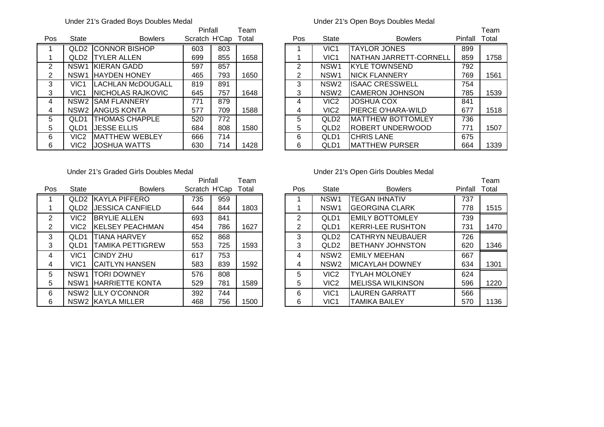### Under 21's Graded Boys Doubles Medal Under 21's Open Boys Doubles Medal

|                |                  |                           | Pinfall       |     | ⊺eam  |     |                  |                           |         | Геаm  |
|----------------|------------------|---------------------------|---------------|-----|-------|-----|------------------|---------------------------|---------|-------|
| Pos            | State            | <b>Bowlers</b>            | Scratch H'Cap |     | Total | Pos | <b>State</b>     | <b>Bowlers</b>            | Pinfall | Total |
|                | QLD <sub>2</sub> | <b>CONNOR BISHOP</b>      | 603           | 803 |       |     | VIC <sub>1</sub> | <b>TAYLOR JONES</b>       | 899     |       |
|                | QLD2             | <b>ITYLER ALLEN</b>       | 699           | 855 | 1658  |     | VIC <sub>1</sub> | NATHAN JARRETT-CORNELL    | 859     | 1758  |
| 2              | NSW1             | KIERAN GADD               | 597           | 857 |       | 2   | NSW <sub>1</sub> | IKYLE TOWNSEND            | 792     |       |
| $\overline{2}$ | NSW1             | <b>IHAYDEN HONEY</b>      | 465           | 793 | 1650  | 2   | NSW <sub>1</sub> | <b>INICK FLANNERY</b>     | 769     | 1561  |
| 3              | VIC <sub>1</sub> | <b>ILACHLAN McDOUGALL</b> | 819           | 891 |       | 3   | NSW <sub>2</sub> | <b>ISAAC CRESSWELL</b>    | 754     |       |
| 3              | VIC <sub>1</sub> | <b>INICHOLAS RAJKOVIC</b> | 645           | 757 | 1648  | 3   | NSW <sub>2</sub> | ICAMERON JOHNSON          | 785     | 1539  |
| 4              |                  | <b>NSW2 ISAM FLANNERY</b> | 771           | 879 |       | 4   | VIC <sub>2</sub> | <b>JOSHUA COX</b>         | 841     |       |
| 4              |                  | NSW2 JANGUS KONTA         | 577           | 709 | 1588  | 4   | VIC <sub>2</sub> | IPIERCE O'HARA-WILD       | 677     | 1518  |
| 5.             | OLD <sub>1</sub> | <b>THOMAS CHAPPLE</b>     | 520           | 772 |       | 5   | QLD <sub>2</sub> | <b>IMATTHEW BOTTOMLEY</b> | 736     |       |
| 5              | QLD1             | <b>JESSE ELLIS</b>        | 684           | 808 | 1580  | 5   | QLD <sub>2</sub> | IROBERT UNDERWOOD         | 771     | 1507  |
| 6              | VIC <sub>2</sub> | <b>IMATTHEW WEBLEY</b>    | 666           | 714 |       | 6   | QLD <sub>1</sub> | <b>CHRIS LANE</b>         | 675     |       |
| 6              | VIC2             | <b>JOSHUA WATTS</b>       | 630           | 714 | 1428  | 6   | QLD1             | IMATTHEW PURSER           | 664     | 1339  |

### Under 21's Graded Girls Doubles Medal Under 21's Open Girls Doubles Medal

|                |                  |                         | Pinfall       |     | Team  |     |                  |                           |         | Tear  |
|----------------|------------------|-------------------------|---------------|-----|-------|-----|------------------|---------------------------|---------|-------|
| <b>Pos</b>     | <b>State</b>     | <b>Bowlers</b>          | Scratch H'Cap |     | Total | Pos | State            | <b>Bowlers</b>            | Pinfall | Total |
|                | QLD <sub>2</sub> | <b>IKAYLA PIFFERO</b>   | 735           | 959 |       |     | NSW <sub>1</sub> | <b>TEGAN IHNATIV</b>      | 737     |       |
|                | QLD <sub>2</sub> | <b>JESSICA CANFIELD</b> | 644           | 844 | 1803  |     | NSW <sub>1</sub> | <b>GEORGINA CLARK</b>     | 778     | 151   |
| $\overline{2}$ | VIC <sub>2</sub> | <b>IBRYLIE ALLEN</b>    | 693           | 841 |       | 2   | QLD <sub>1</sub> | <b>IEMILY BOTTOMLEY</b>   | 739     |       |
| $\overline{2}$ | VIC <sub>2</sub> | <b>KELSEY PEACHMAN</b>  | 454           | 786 | 1627  | 2   | QLD1             | <b>KERRI-LEE RUSHTON</b>  | 731     | 147   |
| 3              | QLD1             | <b>TIANA HARVEY</b>     | 652           | 868 |       | 3   | QLD <sub>2</sub> | ICATHRYN NEUBAUER         | 726     |       |
| 3              | QLD <sub>1</sub> | TAMIKA PETTIGREW        | 553           | 725 | 1593  | 3   | QLD <sub>2</sub> | <b>IBETHANY JOHNSTON</b>  | 620     | 134   |
| 4              | VIC1             | <b>CINDY ZHU</b>        | 617           | 753 |       | 4   | NSW <sub>2</sub> | <b>EMILY MEEHAN</b>       | 667     |       |
| 4              | VIC <sub>1</sub> | <b>CAITLYN HANSEN</b>   | 583           | 839 | 1592  | 4   | NSW <sub>2</sub> | <b>MICAYLAH DOWNEY</b>    | 634     | 130   |
| 5              | NSW <sub>1</sub> | <b>TORI DOWNEY</b>      | 576           | 808 |       | 5   | VIC <sub>2</sub> | <b>TYLAH MOLONEY</b>      | 624     |       |
| 5.             | NSW <sub>1</sub> | <b>HARRIETTE KONTA</b>  | 529           | 781 | 1589  | 5   | VIC <sub>2</sub> | <b>IMELISSA WILKINSON</b> | 596     | 122   |
| 6              |                  | NSW2 LILY O'CONNOR      | 392           | 744 |       | 6   | VIC1             | <b>LAUREN GARRATT</b>     | 566     |       |
| 6              |                  | NSW2 KAYLA MILLER       | 468           | 756 | 1500  | 6   | VIC <sub>1</sub> | <b>TAMIKA BAILEY</b>      | 570     | 113   |

|     |                  |                         | Pinfall       |     | Team  |     |                  |                          |         | Team  |
|-----|------------------|-------------------------|---------------|-----|-------|-----|------------------|--------------------------|---------|-------|
| 'os | <b>State</b>     | <b>Bowlers</b>          | Scratch H'Cap |     | Total | Pos | State            | <b>Bowlers</b>           | Pinfall | Total |
|     | QLD <sub>2</sub> | <b>IKAYLA PIFFERO</b>   | 735           | 959 |       |     | NSW <sub>1</sub> | <b>TEGAN IHNATIV</b>     | 737     |       |
|     | QLD <sub>2</sub> | <b>JESSICA CANFIELD</b> | 644           | 844 | 1803  |     | NSW <sub>1</sub> | <b>GEORGINA CLARK</b>    | 778     | 1515  |
| 2   | VIC <sub>2</sub> | <b>BRYLIE ALLEN</b>     | 693           | 841 |       | 2   | QLD1             | <b>EMILY BOTTOMLEY</b>   | 739     |       |
| 2.  | VIC2             | KELSEY PEACHMAN         | 454           | 786 | 1627  | 2   | QLD1             | KERRI-LEE RUSHTON        | 731     | 1470  |
| 3   | QLD <sub>1</sub> | <b>TIANA HARVEY</b>     | 652           | 868 |       | 3   | QLD <sub>2</sub> | ICATHRYN NEUBAUER        | 726     |       |
| 3   | QLD1             | <b>TAMIKA PETTIGREW</b> | 553           | 725 | 1593  | 3   | QLD <sub>2</sub> | <b>IBETHANY JOHNSTON</b> | 620     | 1346  |
| 4   | VIC <sub>1</sub> | <b>CINDY ZHU</b>        | 617           | 753 |       | 4   | NSW <sub>2</sub> | <b>EMILY MEEHAN</b>      | 667     |       |
| 4   | VIC1             | CAITLYN HANSEN          | 583           | 839 | 1592  | 4   | NSW <sub>2</sub> | IMICAYLAH DOWNEY         | 634     | 1301  |
| 5   | NSW <sub>1</sub> | <b>ITORI DOWNEY</b>     | 576           | 808 |       | 5   | VIC <sub>2</sub> | <b>TYLAH MOLONEY</b>     | 624     |       |
| 5   | NSW <sub>1</sub> | <b>IHARRIETTE KONTA</b> | 529           | 781 | 1589  | 5   | VIC <sub>2</sub> | IMELISSA WILKINSON       | 596     | 1220  |
| 6   |                  | NSW2 ILILY O'CONNOR     | 392           | 744 |       | 6   | VIC1             | <b>LAUREN GARRATT</b>    | 566     |       |
| 6   |                  | NSW2 KAYLA MILLER       | 468           | 756 | 1500  | 6   | VIC <sub>1</sub> | <b>TAMIKA BAILEY</b>     | 570     | 1136  |